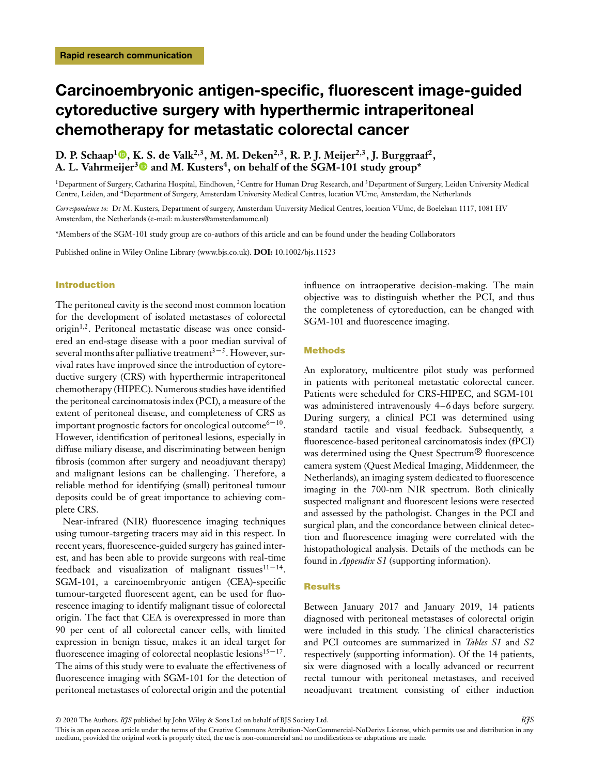# **Carcinoembryonic antigen-specific, fluorescent image-guided cytoreductive surgery with hyperthermic intraperitoneal chemotherapy for metastatic colorectal cancer**

# D. P. Schaap<sup>[1](https://orcid.org/0000-0001-5113-6424)</sup> **.** [K.](https://orcid.org/0000-0001-9370-0011) [S](https://orcid.org/0000-0001-9370-0011). de Valk<sup>2,3</sup>, M. M. Deken<sup>2,3</sup>, R. P. J. Meijer<sup>2,3</sup>, J. Burggraaf<sup>2</sup>, A. L. Vahrmeijer<sup>3</sup> and M. Kusters<sup>4</sup>, on behalf of the SGM-101 study group<sup>\*</sup>

<sup>1</sup>Department of Surgery, Catharina Hospital, Eindhoven, <sup>2</sup>Centre for Human Drug Research, and <sup>3</sup>Department of Surgery, Leiden University Medical Centre, Leiden, and 4Department of Surgery, Amsterdam University Medical Centres, location VUmc, Amsterdam, the Netherlands

*Correspondence to:* Dr M. Kusters, Department of surgery, Amsterdam University Medical Centres, location VUmc, de Boelelaan 1117, 1081 HV Amsterdam, the Netherlands (e-mail: m.kusters@amsterdamumc.nl)

\*Members of the SGM-101 study group are co-authors of this article and can be found under the heading Collaborators

Published online in Wiley Online Library (www.bjs.co.uk). **DOI:** 10.1002/bjs.11523

## **Introduction**

The peritoneal cavity is the second most common location for the development of isolated metastases of colorectal origin<sup>1</sup>*,*2. Peritoneal metastatic disease was once considered an end-stage disease with a poor median survival of several months after palliative treatment $3-5$ . However, survival rates have improved since the introduction of cytoreductive surgery (CRS) with hyperthermic intraperitoneal chemotherapy (HIPEC). Numerous studies have identified the peritoneal carcinomatosis index (PCI), a measure of the extent of peritoneal disease, and completeness of CRS as important prognostic factors for oncological outcome $6-10$ . However, identification of peritoneal lesions, especially in diffuse miliary disease, and discriminating between benign fibrosis (common after surgery and neoadjuvant therapy) and malignant lesions can be challenging. Therefore, a reliable method for identifying (small) peritoneal tumour deposits could be of great importance to achieving complete CRS.

Near-infrared (NIR) fluorescence imaging techniques using tumour-targeting tracers may aid in this respect. In recent years, fluorescence-guided surgery has gained interest, and has been able to provide surgeons with real-time feedback and visualization of malignant tissues $11-14$ . SGM-101, a carcinoembryonic antigen (CEA)-specific tumour-targeted fluorescent agent, can be used for fluorescence imaging to identify malignant tissue of colorectal origin. The fact that CEA is overexpressed in more than 90 per cent of all colorectal cancer cells, with limited expression in benign tissue, makes it an ideal target for fluorescence imaging of colorectal neoplastic lesions<sup>15–17</sup>. The aims of this study were to evaluate the effectiveness of fluorescence imaging with SGM-101 for the detection of peritoneal metastases of colorectal origin and the potential influence on intraoperative decision-making. The main objective was to distinguish whether the PCI, and thus the completeness of cytoreduction, can be changed with SGM-101 and fluorescence imaging.

# **Methods**

An exploratory, multicentre pilot study was performed in patients with peritoneal metastatic colorectal cancer. Patients were scheduled for CRS-HIPEC, and SGM-101 was administered intravenously 4–6 days before surgery. During surgery, a clinical PCI was determined using standard tactile and visual feedback. Subsequently, a fluorescence-based peritoneal carcinomatosis index (fPCI) was determined using the Quest Spectrum<sup>®</sup> fluorescence camera system (Quest Medical Imaging, Middenmeer, the Netherlands), an imaging system dedicated to fluorescence imaging in the 700-nm NIR spectrum. Both clinically suspected malignant and fluorescent lesions were resected and assessed by the pathologist. Changes in the PCI and surgical plan, and the concordance between clinical detection and fluorescence imaging were correlated with the histopathological analysis. Details of the methods can be found in *Appendix S1* (supporting information).

# **Results**

Between January 2017 and January 2019, 14 patients diagnosed with peritoneal metastases of colorectal origin were included in this study. The clinical characteristics and PCI outcomes are summarized in *Tables S1* and *S2* respectively (supporting information). Of the 14 patients, six were diagnosed with a locally advanced or recurrent rectal tumour with peritoneal metastases, and received neoadjuvant treatment consisting of either induction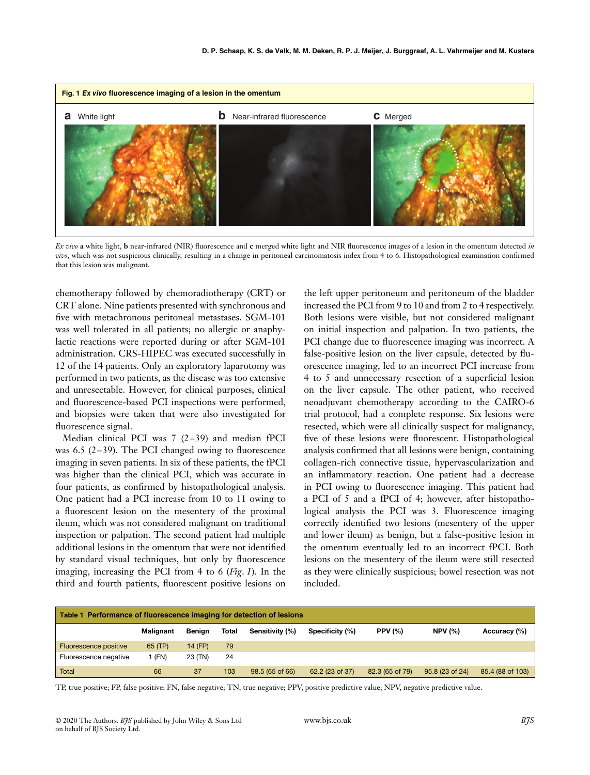

*Ex vivo* **a** white light, **b** near-infrared (NIR) fluorescence and **c** merged white light and NIR fluorescence images of a lesion in the omentum detected *in vivo*, which was not suspicious clinically, resulting in a change in peritoneal carcinomatosis index from 4 to 6. Histopathological examination confirmed that this lesion was malignant.

chemotherapy followed by chemoradiotherapy (CRT) or CRT alone. Nine patients presented with synchronous and five with metachronous peritoneal metastases. SGM-101 was well tolerated in all patients; no allergic or anaphylactic reactions were reported during or after SGM-101 administration. CRS-HIPEC was executed successfully in 12 of the 14 patients. Only an exploratory laparotomy was performed in two patients, as the disease was too extensive and unresectable. However, for clinical purposes, clinical and fluorescence-based PCI inspections were performed, and biopsies were taken that were also investigated for fluorescence signal.

Median clinical PCI was 7 (2–39) and median fPCI was 6.5 (2–39). The PCI changed owing to fluorescence imaging in seven patients. In six of these patients, the fPCI was higher than the clinical PCI, which was accurate in four patients, as confirmed by histopathological analysis. One patient had a PCI increase from 10 to 11 owing to a fluorescent lesion on the mesentery of the proximal ileum, which was not considered malignant on traditional inspection or palpation. The second patient had multiple additional lesions in the omentum that were not identified by standard visual techniques, but only by fluorescence imaging, increasing the PCI from 4 to 6 (*Fig*. *1*). In the third and fourth patients, fluorescent positive lesions on

the left upper peritoneum and peritoneum of the bladder increased the PCI from 9 to 10 and from 2 to 4 respectively. Both lesions were visible, but not considered malignant on initial inspection and palpation. In two patients, the PCI change due to fluorescence imaging was incorrect. A false-positive lesion on the liver capsule, detected by fluorescence imaging, led to an incorrect PCI increase from 4 to 5 and unnecessary resection of a superficial lesion on the liver capsule. The other patient, who received neoadjuvant chemotherapy according to the CAIRO-6 trial protocol, had a complete response. Six lesions were resected, which were all clinically suspect for malignancy; five of these lesions were fluorescent. Histopathological analysis confirmed that all lesions were benign, containing collagen-rich connective tissue, hypervascularization and an inflammatory reaction. One patient had a decrease in PCI owing to fluorescence imaging. This patient had a PCI of 5 and a fPCI of 4; however, after histopathological analysis the PCI was 3. Fluorescence imaging correctly identified two lesions (mesentery of the upper and lower ileum) as benign, but a false-positive lesion in the omentum eventually led to an incorrect fPCI. Both lesions on the mesentery of the ileum were still resected as they were clinically suspicious; bowel resection was not included.

| Table 1 Performance of fluorescence imaging for detection of lesions |                  |         |              |                 |                 |                 |                 |                  |
|----------------------------------------------------------------------|------------------|---------|--------------|-----------------|-----------------|-----------------|-----------------|------------------|
|                                                                      | <b>Malignant</b> | Benian  | <b>Total</b> | Sensitivity (%) | Specificity (%) | <b>PPV (%)</b>  | <b>NPV (%)</b>  | Accuracy (%)     |
| Fluorescence positive                                                | 65 (TP)          | 14 (FP) | 79           |                 |                 |                 |                 |                  |
| Fluorescence negative                                                | l (FN)           | 23 (TN) | 24           |                 |                 |                 |                 |                  |
| Total                                                                | 66               | 37      | 103          | 98.5 (65 of 66) | 62.2 (23 of 37) | 82.3 (65 of 79) | 95.8 (23 of 24) | 85.4 (88 of 103) |

TP, true positive; FP, false positive; FN, false negative; TN, true negative; PPV, positive predictive value; NPV, negative predictive value.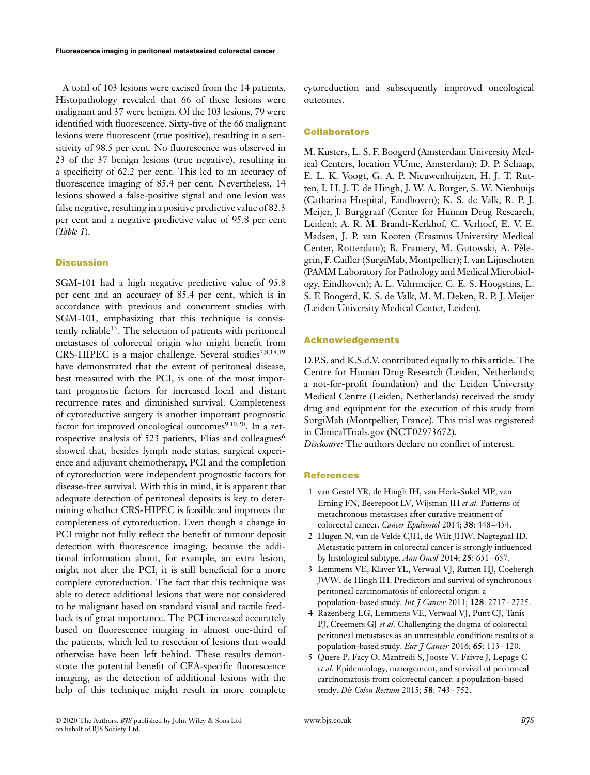A total of 103 lesions were excised from the 14 patients. Histopathology revealed that 66 of these lesions were malignant and 37 were benign. Of the 103 lesions, 79 were identified with fluorescence. Sixty-five of the 66 malignant lesions were fluorescent (true positive), resulting in a sensitivity of 98.5 per cent. No fluorescence was observed in 23 of the 37 benign lesions (true negative), resulting in a specificity of 62.2 per cent. This led to an accuracy of fluorescence imaging of 85.4 per cent. Nevertheless, 14 lesions showed a false-positive signal and one lesion was false negative, resulting in a positive predictive value of 82.3 per cent and a negative predictive value of 95.8 per cent (*Table 1*).

# **Discussion**

SGM-101 had a high negative predictive value of 95.8 per cent and an accuracy of 85.4 per cent, which is in accordance with previous and concurrent studies with SGM-101, emphasizing that this technique is consistently reliable<sup>13</sup>. The selection of patients with peritoneal metastases of colorectal origin who might benefit from CRS-HIPEC is a major challenge. Several studies<sup>7</sup>*,*8*,*18*,*<sup>19</sup> have demonstrated that the extent of peritoneal disease, best measured with the PCI, is one of the most important prognostic factors for increased local and distant recurrence rates and diminished survival. Completeness of cytoreductive surgery is another important prognostic factor for improved oncological outcomes<sup>9,10,20</sup>. In a retrospective analysis of 523 patients, Elias and colleagues<sup>6</sup> showed that, besides lymph node status, surgical experience and adjuvant chemotherapy, PCI and the completion of cytoreduction were independent prognostic factors for disease-free survival. With this in mind, it is apparent that adequate detection of peritoneal deposits is key to determining whether CRS-HIPEC is feasible and improves the completeness of cytoreduction. Even though a change in PCI might not fully reflect the benefit of tumour deposit detection with fluorescence imaging, because the additional information about, for example, an extra lesion, might not alter the PCI, it is still beneficial for a more complete cytoreduction. The fact that this technique was able to detect additional lesions that were not considered to be malignant based on standard visual and tactile feedback is of great importance. The PCI increased accurately based on fluorescence imaging in almost one-third of the patients, which led to resection of lesions that would otherwise have been left behind. These results demonstrate the potential benefit of CEA-specific fluorescence imaging, as the detection of additional lesions with the help of this technique might result in more complete cytoreduction and subsequently improved oncological outcomes.

#### **Collaborators**

M. Kusters, L. S. F. Boogerd (Amsterdam University Medical Centers, location VUmc, Amsterdam); D. P. Schaap, E. L. K. Voogt, G. A. P. Nieuwenhuijzen, H. J. T. Rutten, I. H. J. T. de Hingh, J. W. A. Burger, S. W. Nienhuijs (Catharina Hospital, Eindhoven); K. S. de Valk, R. P. J. Meijer, J. Burggraaf (Center for Human Drug Research, Leiden); A. R. M. Brandt-Kerkhof, C. Verhoef, E. V. E. Madsen, J. P. van Kooten (Erasmus University Medical Center, Rotterdam); B. Framery, M. Gutowski, A. Pèlegrin, F. Cailler (SurgiMab, Montpellier); I. van Lijnschoten (PAMM Laboratory for Pathology and Medical Microbiology, Eindhoven); A. L. Vahrmeijer, C. E. S. Hoogstins, L. S. F. Boogerd, K. S. de Valk, M. M. Deken, R. P. J. Meijer (Leiden University Medical Center, Leiden).

#### **Acknowledgements**

D.P.S. and K.S.d.V. contributed equally to this article. The Centre for Human Drug Research (Leiden, Netherlands; a not-for-profit foundation) and the Leiden University Medical Centre (Leiden, Netherlands) received the study drug and equipment for the execution of this study from SurgiMab (Montpellier, France). This trial was registered in [ClinicalTrials.gov](http://clinicaltrials.gov) (NCT02973672).

*Disclosure:* The authors declare no conflict of interest.

## **References**

- 1 van Gestel YR, de Hingh IH, van Herk-Sukel MP, van Erning FN, Beerepoot LV, Wijsman JH *et al.* Patterns of metachronous metastases after curative treatment of colorectal cancer. *Cancer Epidemiol* 2014; **38**: 448–454.
- 2 Hugen N, van de Velde CJH, de Wilt JHW, Nagtegaal ID. Metastatic pattern in colorectal cancer is strongly influenced by histological subtype. *Ann Oncol* 2014; **25**: 651–657.
- 3 Lemmens VE, Klaver YL, Verwaal VJ, Rutten HJ, Coebergh JWW, de Hingh IH. Predictors and survival of synchronous peritoneal carcinomatosis of colorectal origin: a population-based study. *Int J Cancer* 2011; **128**: 2717–2725.
- 4 Razenberg LG, Lemmens VE, Verwaal VJ, Punt CJ, Tanis PJ, Creemers GJ *et al.* Challenging the dogma of colorectal peritoneal metastases as an untreatable condition: results of a population-based study. *Eur J Cancer* 2016; **65**: 113–120.
- 5 Quere P, Facy O, Manfredi S, Jooste V, Faivre J, Lepage C *et al.* Epidemiology, management, and survival of peritoneal carcinomatosis from colorectal cancer: a population-based study. *Dis Colon Rectum* 2015; **58**: 743–752.